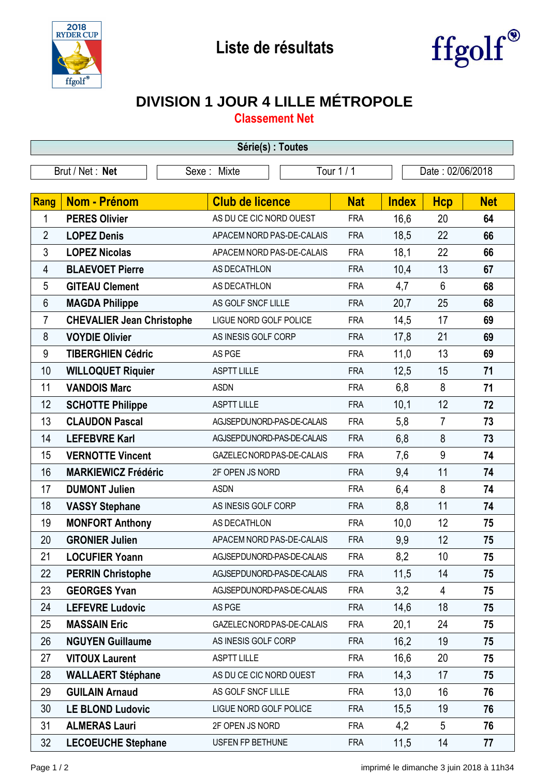



## **DIVISION 1 JOUR 4 LILLE MÉTROPOLE**

**Classement Net**

| Série(s) : Toutes |                                  |                           |                            |                  |            |              |                |            |  |  |
|-------------------|----------------------------------|---------------------------|----------------------------|------------------|------------|--------------|----------------|------------|--|--|
| Brut / Net: Net   |                                  | Tour 1 / 1<br>Sexe: Mixte |                            | Date: 02/06/2018 |            |              |                |            |  |  |
|                   |                                  |                           |                            |                  |            |              |                |            |  |  |
| Rang              | <b>Nom - Prénom</b>              |                           | <b>Club de licence</b>     |                  | <b>Nat</b> | <b>Index</b> | <b>Hcp</b>     | <b>Net</b> |  |  |
| 1                 | <b>PERES Olivier</b>             |                           | AS DU CE CIC NORD OUEST    |                  | <b>FRA</b> | 16,6         | 20             | 64         |  |  |
| $\overline{2}$    | <b>LOPEZ Denis</b>               |                           | APACEM NORD PAS-DE-CALAIS  |                  | <b>FRA</b> | 18,5         | 22             | 66         |  |  |
| 3                 | <b>LOPEZ Nicolas</b>             |                           | APACEM NORD PAS-DE-CALAIS  |                  | <b>FRA</b> | 18,1         | 22             | 66         |  |  |
| 4                 | <b>BLAEVOET Pierre</b>           |                           | AS DECATHLON               |                  | <b>FRA</b> | 10,4         | 13             | 67         |  |  |
| 5                 | <b>GITEAU Clement</b>            |                           | AS DECATHLON               |                  | <b>FRA</b> | 4,7          | 6              | 68         |  |  |
| 6                 | <b>MAGDA Philippe</b>            |                           | AS GOLF SNCF LILLE         |                  | <b>FRA</b> | 20,7         | 25             | 68         |  |  |
| 7                 | <b>CHEVALIER Jean Christophe</b> |                           | LIGUE NORD GOLF POLICE     |                  | <b>FRA</b> | 14,5         | 17             | 69         |  |  |
| 8                 | <b>VOYDIE Olivier</b>            |                           | AS INESIS GOLF CORP        |                  | <b>FRA</b> | 17,8         | 21             | 69         |  |  |
| 9                 | <b>TIBERGHIEN Cédric</b>         |                           | AS PGE                     |                  | <b>FRA</b> | 11,0         | 13             | 69         |  |  |
| 10                | <b>WILLOQUET Riquier</b>         |                           | <b>ASPTT LILLE</b>         |                  | <b>FRA</b> | 12,5         | 15             | 71         |  |  |
| 11                | <b>VANDOIS Marc</b>              |                           | <b>ASDN</b>                |                  | <b>FRA</b> | 6,8          | 8              | 71         |  |  |
| 12                | <b>SCHOTTE Philippe</b>          |                           | <b>ASPTT LILLE</b>         |                  | <b>FRA</b> | 10,1         | 12             | 72         |  |  |
| 13                | <b>CLAUDON Pascal</b>            |                           | AGJSEPDUNORD-PAS-DE-CALAIS |                  | <b>FRA</b> | 5,8          | $\overline{7}$ | 73         |  |  |
| 14                | <b>LEFEBVRE Karl</b>             |                           | AGJSEPDUNORD-PAS-DE-CALAIS |                  | <b>FRA</b> | 6,8          | 8              | 73         |  |  |
| 15                | <b>VERNOTTE Vincent</b>          |                           | GAZELEC NORD PAS-DE-CALAIS |                  | <b>FRA</b> | 7,6          | 9              | 74         |  |  |
| 16                | <b>MARKIEWICZ Frédéric</b>       |                           | 2F OPEN JS NORD            |                  | <b>FRA</b> | 9,4          | 11             | 74         |  |  |
| 17                | <b>DUMONT Julien</b>             |                           | <b>ASDN</b>                |                  | <b>FRA</b> | 6,4          | 8              | 74         |  |  |
| 18                | <b>VASSY Stephane</b>            |                           | AS INESIS GOLF CORP        |                  | <b>FRA</b> | 8,8          | 11             | 74         |  |  |
| 19                | <b>MONFORT Anthony</b>           |                           | AS DECATHLON               |                  | <b>FRA</b> | 10,0         | 12             | 75         |  |  |
| 20                | <b>GRONIER Julien</b>            |                           | APACEM NORD PAS-DE-CALAIS  |                  | <b>FRA</b> | 9,9          | 12             | 75         |  |  |
| 21                | <b>LOCUFIER Yoann</b>            |                           | AGJSEPDUNORD-PAS-DE-CALAIS |                  | <b>FRA</b> | 8,2          | 10             | 75         |  |  |
| 22                | <b>PERRIN Christophe</b>         |                           | AGJSEPDUNORD-PAS-DE-CALAIS |                  | <b>FRA</b> | 11,5         | 14             | 75         |  |  |
| 23                | <b>GEORGES Yvan</b>              |                           | AGJSEPDUNORD-PAS-DE-CALAIS |                  | <b>FRA</b> | 3,2          | 4              | 75         |  |  |
| 24                | <b>LEFEVRE Ludovic</b>           |                           | AS PGE                     |                  | <b>FRA</b> | 14,6         | 18             | 75         |  |  |
| 25                | <b>MASSAIN Eric</b>              |                           | GAZELEC NORD PAS-DE-CALAIS |                  | <b>FRA</b> | 20,1         | 24             | 75         |  |  |
| 26                | <b>NGUYEN Guillaume</b>          |                           | AS INESIS GOLF CORP        |                  | <b>FRA</b> | 16,2         | 19             | 75         |  |  |
| 27                | <b>VITOUX Laurent</b>            |                           | <b>ASPTT LILLE</b>         |                  | <b>FRA</b> | 16,6         | 20             | 75         |  |  |
| 28                | <b>WALLAERT Stéphane</b>         |                           | AS DU CE CIC NORD OUEST    |                  | <b>FRA</b> | 14,3         | 17             | 75         |  |  |
| 29                | <b>GUILAIN Arnaud</b>            |                           | AS GOLF SNCF LILLE         |                  | <b>FRA</b> | 13,0         | 16             | 76         |  |  |
| 30                | <b>LE BLOND Ludovic</b>          |                           | LIGUE NORD GOLF POLICE     |                  | <b>FRA</b> | 15,5         | 19             | 76         |  |  |
| 31                | <b>ALMERAS Lauri</b>             |                           | 2F OPEN JS NORD            |                  | <b>FRA</b> | 4,2          | 5              | 76         |  |  |
| 32                | <b>LECOEUCHE Stephane</b>        |                           | <b>USFEN FP BETHUNE</b>    |                  | <b>FRA</b> | 11,5         | 14             | 77         |  |  |